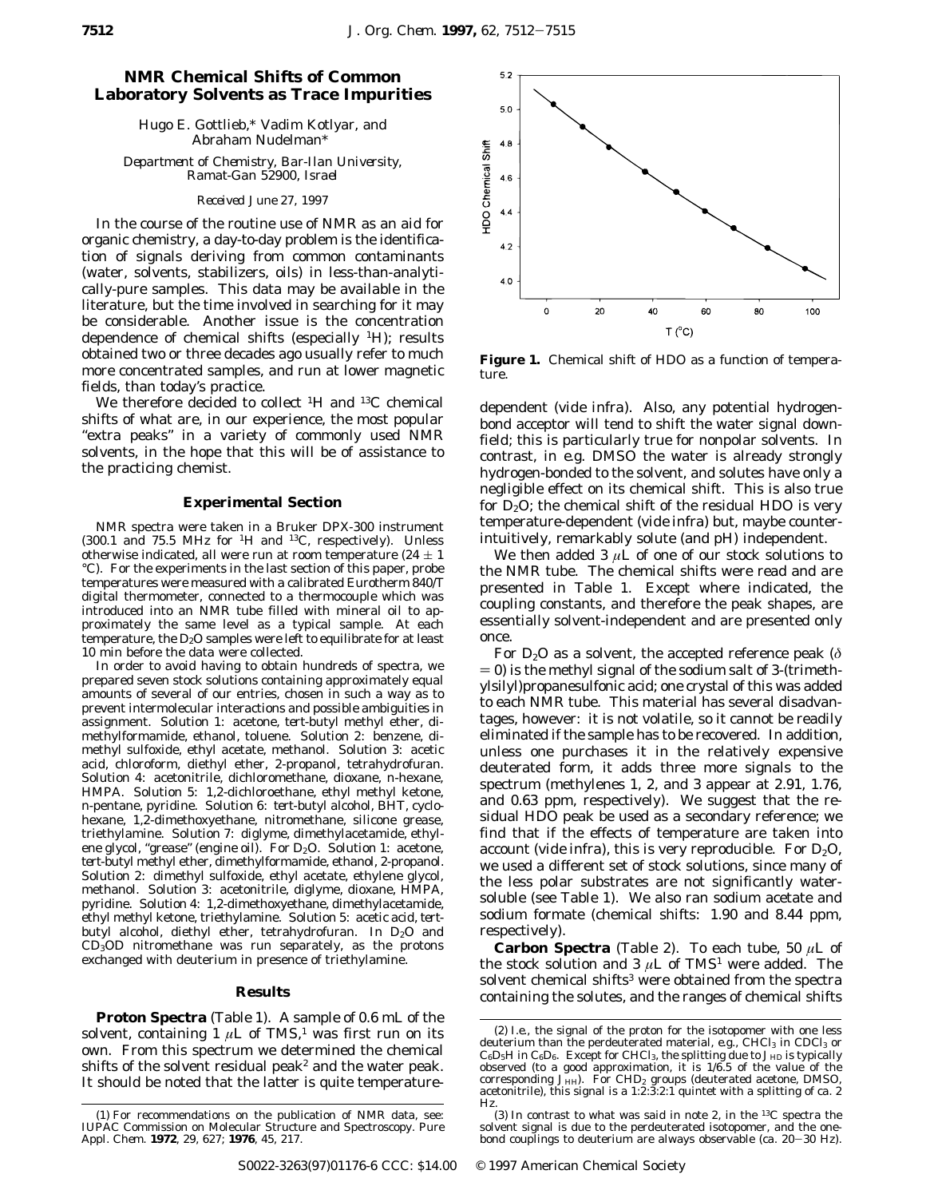# **NMR Chemical Shifts of Common Laboratory Solvents as Trace Impurities**

Hugo E. Gottlieb,\* Vadim Kotlyar, and Abraham Nudelman\*

*Department of Chemistry, Bar-Ilan University, Ramat-Gan 52900, Israel*

### *Received June 27, 1997*

In the course of the routine use of NMR as an aid for organic chemistry, a day-to-day problem is the identification of signals deriving from common contaminants (water, solvents, stabilizers, oils) in less-than-analytically-pure samples. This data may be available in the literature, but the time involved in searching for it may be considerable. Another issue is the concentration dependence of chemical shifts (especially 1H); results obtained two or three decades ago usually refer to much more concentrated samples, and run at lower magnetic fields, than today's practice.

We therefore decided to collect 1H and 13C chemical shifts of what are, in our experience, the most popular "extra peaks" in a variety of commonly used NMR solvents, in the hope that this will be of assistance to the practicing chemist.

## **Experimental Section**

NMR spectra were taken in a Bruker DPX-300 instrument (300.1 and 75.5 MHz for 1H and 13C, respectively). Unless otherwise indicated, all were run at room temperature (24  $\pm$  1) °C). For the experiments in the last section of this paper, probe temperatures were measured with a calibrated Eurotherm 840/T digital thermometer, connected to a thermocouple which was introduced into an NMR tube filled with mineral oil to approximately the same level as a typical sample. At each temperature, the  $D_2O$  samples were left to equilibrate for at least 10 min before the data were collected.

In order to avoid having to obtain hundreds of spectra, we prepared seven stock solutions containing approximately equal amounts of several of our entries, chosen in such a way as to prevent intermolecular interactions and possible ambiguities in assignment. Solution 1: acetone, *tert*-butyl methyl ether, dimethylformamide, ethanol, toluene. Solution 2: benzene, dimethyl sulfoxide, ethyl acetate, methanol. Solution 3: acetic acid, chloroform, diethyl ether, 2-propanol, tetrahydrofuran. Solution 4: acetonitrile, dichloromethane, dioxane, *n*-hexane, HMPA. Solution 5: 1,2-dichloroethane, ethyl methyl ketone, *n*-pentane, pyridine. Solution 6: *tert*-butyl alcohol, BHT, cyclohexane, 1,2-dimethoxyethane, nitromethane, silicone grease, triethylamine. Solution 7: diglyme, dimethylacetamide, ethylene glycol, "grease" (engine oil). For D<sub>2</sub>O. Solution 1: acetone, *tert*-butyl methyl ether, dimethylformamide, ethanol, 2-propanol. Solution 2: dimethyl sulfoxide, ethyl acetate, ethylene glycol, methanol. Solution 3: acetonitrile, diglyme, dioxane, HMPA, pyridine. Solution 4: 1,2-dimethoxyethane, dimethylacetamide, ethyl methyl ketone, triethylamine. Solution 5: acetic acid, *tert*butyl alcohol, diethyl ether, tetrahydrofuran. In D<sub>2</sub>O and CD3OD nitromethane was run separately, as the protons exchanged with deuterium in presence of triethylamine.

#### **Results**

**Proton Spectra** (Table 1). A sample of 0.6 mL of the solvent, containing 1  $\mu$ L of TMS,<sup>1</sup> was first run on its own. From this spectrum we determined the chemical shifts of the solvent residual peak<sup>2</sup> and the water peak. It should be noted that the latter is quite temperature-



**Figure 1.** Chemical shift of *H*DO as a function of temperature.

dependent (*vide infra*). Also, any potential hydrogenbond acceptor will tend to shift the water signal downfield; this is particularly true for nonpolar solvents. In contrast, in *e.g.* DMSO the water is already strongly hydrogen-bonded to the solvent, and solutes have only a negligible effect on its chemical shift. This is also true for  $D_2O$ ; the chemical shift of the residual HDO is very temperature-dependent (*vide infra*) but, maybe counterintuitively, remarkably solute (and pH) independent.

We then added 3  $\mu$ L of one of our stock solutions to the NMR tube. The chemical shifts were read and are presented in Table 1. Except where indicated, the coupling constants, and therefore the peak shapes, are essentially solvent-independent and are presented only once.

For  $D_2O$  as a solvent, the accepted reference peak ( $\delta$  $=$  0) is the methyl signal of the sodium salt of 3-(trimethylsilyl)propanesulfonic acid; one crystal of this was added to each NMR tube. This material has several disadvantages, however: it is not volatile, so it cannot be readily eliminated if the sample has to be recovered. In addition, unless one purchases it in the relatively expensive deuterated form, it adds three more signals to the spectrum (methylenes 1, 2, and 3 appear at 2.91, 1.76, and 0.63 ppm, respectively). We suggest that the residual HDO peak be used as a secondary reference; we find that if the effects of temperature are taken into account (*vide infra*), this is very reproducible. For  $D_2O$ , we used a different set of stock solutions, since many of the less polar substrates are not significantly watersoluble (see Table 1). We also ran sodium acetate and sodium formate (chemical shifts: 1.90 and 8.44 ppm, respectively).

**Carbon Spectra** (Table 2). To each tube, 50  $\mu$ L of the stock solution and 3  $\mu$ L of TMS<sup>1</sup> were added. The solvent chemical shifts<sup>3</sup> were obtained from the spectra containing the solutes, and the ranges of chemical shifts

<sup>(1)</sup> For recommendations on the publication of NMR data, see: IUPAC Commission on Molecular Structure and Spectroscopy. *Pure Appl. Chem.* **1972**, *29*, 627; **1976**, *45*, 217.

<sup>(2)</sup> *I.e.*, the signal of the proton for the isotopomer with one less deuterium than the perdeuterated material, *e.g.*, CHCl<sub>3</sub> in CDCl<sub>3</sub> or C<sub>6</sub>D<sub>5</sub>*H* in C<sub>6</sub>D<sub>6</sub>. Except for CHCl<sub>3</sub>, the splitting due to *J*<sub>HD</sub> is typically observed (to a good approximation, it is 1/6.5 of the value of the corresponding *J*<sub>HH</sub>). For CHD<sub>2</sub> groups (deuterated acetone, DMSO,<br>acetonitrile), this signal is a 1:2:3:2:1 quintet with a splitting of *ca*. 2 Hz.

<sup>(3)</sup> In contrast to what was said in note 2, in the 13C spectra the solvent signal is due to the perdeuterated isotopomer, and the onebond couplings to deuterium are always observable (*ca*. 20-30 Hz).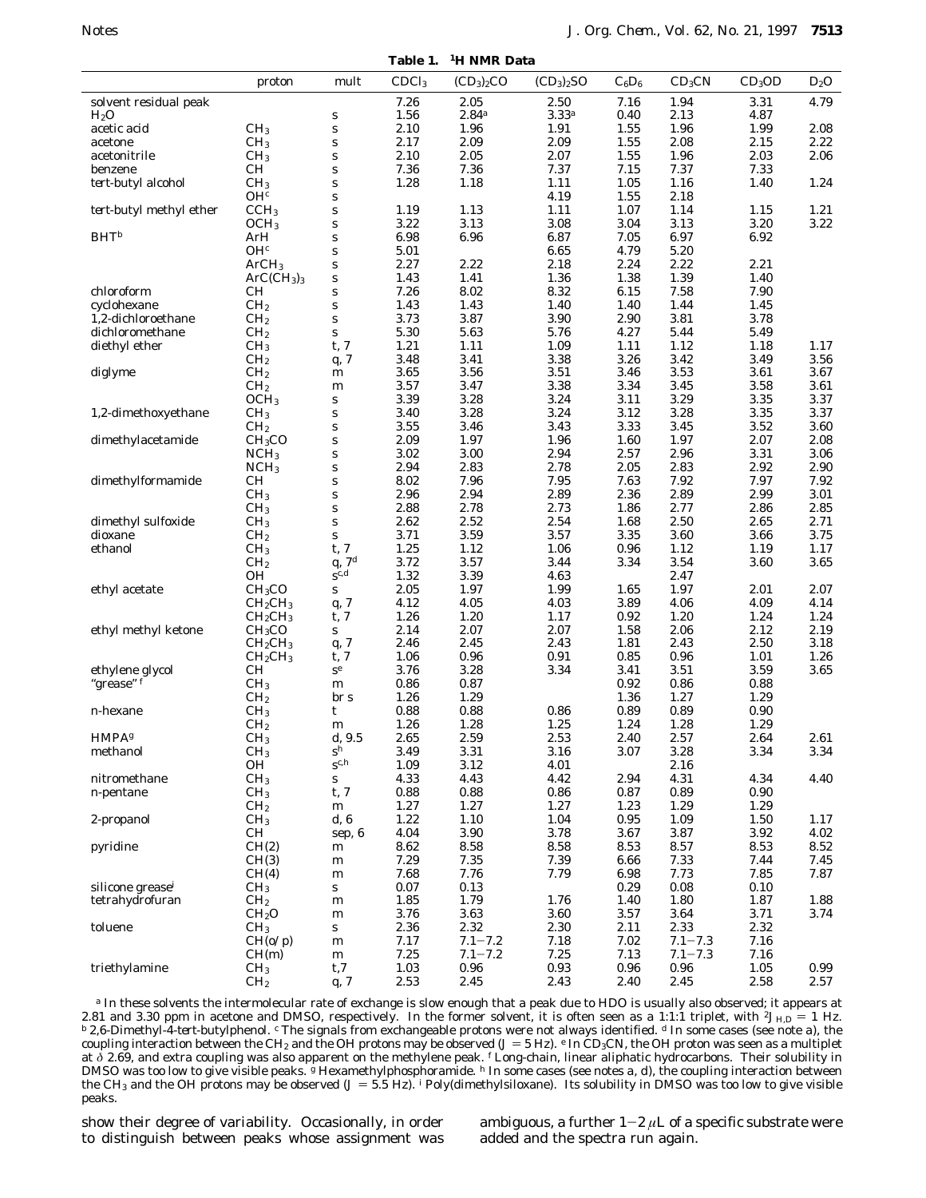**Table 1. 1H NMR Data**

|                              | proton                          | mult               | CDCl <sub>3</sub> | $(CD_3)_2CO$ | $(CD_3)_2SO$ | $C_6D_6$ | CD <sub>3</sub> CN | CD <sub>3</sub> OD | $D_2O$   |
|------------------------------|---------------------------------|--------------------|-------------------|--------------|--------------|----------|--------------------|--------------------|----------|
| solvent residual peak        |                                 |                    | 7.26              | 2.05         | 2.50         | 7.16     | 1.94               | 3.31               | 4.79     |
| H <sub>2</sub> O             |                                 |                    | 1.56              | $2.84^{a}$   | 3.33a        | 0.40     | 2.13               | 4.87               |          |
|                              |                                 | S                  |                   |              |              |          |                    |                    |          |
| acetic acid                  | CH <sub>3</sub>                 | S                  | 2.10              | 1.96         | 1.91         | 1.55     | 1.96               | 1.99               | 2.08     |
| acetone                      | CH <sub>3</sub>                 | S                  | 2.17              | 2.09         | 2.09         | 1.55     | 2.08               | 2.15               | 2.22     |
| acetonitrile                 | CH <sub>3</sub>                 | S                  | 2.10              | 2.05         | 2.07         | 1.55     | 1.96               | 2.03               | 2.06     |
| benzene                      | CН                              | S                  | 7.36              | 7.36         | 7.37         | 7.15     | 7.37               | 7.33               |          |
| tert-butyl alcohol           | CH <sub>3</sub>                 | S                  | 1.28              | 1.18         | 1.11         | 1.05     | 1.16               | 1.40               | 1.24     |
|                              | $\mathrm{OH}^c$                 | S                  |                   |              | 4.19         | 1.55     | 2.18               |                    |          |
| tert-butyl methyl ether      | CCH <sub>3</sub>                | S                  | 1.19              | 1.13         | 1.11         | 1.07     | 1.14               | 1.15               | 1.21     |
|                              | OCH <sub>3</sub>                | S                  | 3.22              | 3.13         | 3.08         | 3.04     | 3.13               | 3.20               | 3.22     |
| $BHT^b$                      | ArH                             | S                  | 6.98              | 6.96         | 6.87         | 7.05     | 6.97               | 6.92               |          |
|                              | $\mathbf{OH}^c$                 | S                  | 5.01              |              | 6.65         | 4.79     | 5.20               |                    |          |
|                              |                                 |                    |                   |              |              |          |                    |                    |          |
|                              | ArCH <sub>3</sub>               | S                  | 2.27              | 2.22         | 2.18         | 2.24     | 2.22               | 2.21               |          |
|                              | $ArC(CH_3)_3$                   | S                  | 1.43              | 1.41         | 1.36         | 1.38     | 1.39               | 1.40               |          |
| chloroform                   | CН                              | S                  | 7.26              | 8.02         | 8.32         | 6.15     | 7.58               | 7.90               |          |
| cyclohexane                  | CH <sub>2</sub>                 | S                  | 1.43              | 1.43         | 1.40         | 1.40     | 1.44               | 1.45               |          |
| 1,2-dichloroethane           | CH <sub>2</sub>                 | S                  | 3.73              | 3.87         | 3.90         | 2.90     | 3.81               | 3.78               |          |
| dichloromethane              | CH <sub>2</sub>                 | S                  | 5.30              | 5.63         | 5.76         | 4.27     | 5.44               | 5.49               |          |
| diethyl ether                | CH <sub>3</sub>                 | t, 7               | 1.21              | 1.11         | 1.09         | 1.11     | 1.12               | 1.18               | 1.17     |
|                              | CH <sub>2</sub>                 | q, 7               | 3.48              | 3.41         | 3.38         | 3.26     | 3.42               | 3.49               | 3.56     |
| diglyme                      | CH <sub>2</sub>                 | m                  | 3.65              | 3.56         | 3.51         | 3.46     | 3.53               | 3.61               | 3.67     |
|                              | CH <sub>2</sub>                 | m                  | 3.57              | 3.47         | 3.38         | 3.34     | $3.45\,$           | 3.58               | 3.61     |
|                              | OCH <sub>3</sub>                | S                  | 3.39              | 3.28         | 3.24         | 3.11     | $3.29\,$           | 3.35               | 3.37     |
|                              |                                 |                    |                   |              |              |          |                    |                    |          |
| 1,2-dimethoxyethane          | CH <sub>3</sub>                 | S                  | 3.40              | 3.28         | 3.24         | 3.12     | 3.28               | 3.35               | 3.37     |
|                              | CH <sub>2</sub>                 | S                  | 3.55              | 3.46         | 3.43         | 3.33     | 3.45               | 3.52               | 3.60     |
| dimethylacetamide            | CH <sub>3</sub> CO              | S                  | 2.09              | 1.97         | 1.96         | 1.60     | 1.97               | 2.07               | 2.08     |
|                              | NCH <sub>3</sub>                | S                  | 3.02              | 3.00         | 2.94         | 2.57     | 2.96               | 3.31               | 3.06     |
|                              | NCH <sub>3</sub>                | S                  | 2.94              | 2.83         | 2.78         | 2.05     | 2.83               | 2.92               | 2.90     |
| dimethylformamide            | CН                              | S                  | 8.02              | 7.96         | 7.95         | 7.63     | 7.92               | 7.97               | 7.92     |
|                              | CH <sub>3</sub>                 | S                  | 2.96              | 2.94         | 2.89         | 2.36     | 2.89               | 2.99               | 3.01     |
|                              | CH <sub>3</sub>                 | S                  | 2.88              | 2.78         | 2.73         | 1.86     | 2.77               | 2.86               | $2.85\,$ |
| dimethyl sulfoxide           | CH <sub>3</sub>                 | S                  | 2.62              | 2.52         | 2.54         | 1.68     | 2.50               | 2.65               | 2.71     |
| dioxane                      | CH <sub>2</sub>                 | S                  | 3.71              | 3.59         | 3.57         | 3.35     | 3.60               | 3.66               | 3.75     |
|                              |                                 |                    |                   |              |              |          |                    |                    |          |
| ethanol                      | CH <sub>3</sub>                 | t, 7               | 1.25              | 1.12         | 1.06         | 0.96     | 1.12               | 1.19               | 1.17     |
|                              | CH <sub>2</sub>                 | q, $7d$            | 3.72              | 3.57         | 3.44         | 3.34     | 3.54               | 3.60               | 3.65     |
|                              | OН                              | $\mathbf{s}^{c,d}$ | 1.32              | 3.39         | 4.63         |          | 2.47               |                    |          |
| ethyl acetate                | CH <sub>3</sub> CO              | $\mathbf{s}$       | 2.05              | 1.97         | 1.99         | 1.65     | 1.97               | 2.01               | 2.07     |
|                              | $CH_2CH_3$                      | q, 7               | 4.12              | 4.05         | 4.03         | 3.89     | 4.06               | 4.09               | 4.14     |
|                              | $CH_2CH_3$                      | t, 7               | 1.26              | 1.20         | 1.17         | 0.92     | 1.20               | 1.24               | 1.24     |
| ethyl methyl ketone          | CH <sub>3</sub> CO              | S                  | 2.14              | 2.07         | 2.07         | 1.58     | 2.06               | 2.12               | 2.19     |
|                              | CH <sub>2</sub> CH <sub>3</sub> | q, 7               | 2.46              | 2.45         | 2.43         | 1.81     | 2.43               | 2.50               | 3.18     |
|                              | $CH_2CH_3$                      | t, 7               | 1.06              | 0.96         | 0.91         | 0.85     | 0.96               | 1.01               | 1.26     |
| ethylene glycol              | <b>CH</b>                       | $s^e$              | 3.76              | 3.28         | 3.34         | 3.41     | 3.51               | 3.59               | 3.65     |
| "grease" <i>i</i>            | CH <sub>3</sub>                 | m                  | 0.86              | 0.87         |              | 0.92     | 0.86               | 0.88               |          |
|                              | CH <sub>2</sub>                 | br s               | 1.26              | 1.29         |              | 1.36     | 1.27               | 1.29               |          |
|                              |                                 |                    |                   |              |              |          |                    |                    |          |
| <i>n</i> -hexane             | CH <sub>3</sub>                 | t                  | 0.88              | 0.88         | 0.86         | 0.89     | 0.89               | 0.90               |          |
|                              | CH <sub>2</sub>                 | m                  | 1.26              | 1.28         | 1.25         | 1.24     | 1.28               | 1.29               |          |
| <b>HMPA<sup>s</sup></b>      | CH <sub>3</sub>                 | d, 9.5             | 2.65              | 2.59         | 2.53         | 2.40     | 2.57               | 2.64               | 2.61     |
| methanol                     | CH <sub>3</sub>                 | $s^h$              | 3.49              | 3.31         | 3.16         | 3.07     | 3.28               | 3.34               | 3.34     |
|                              | <b>OH</b>                       | $S^{c,h}$          | 1.09              | 3.12         | 4.01         |          | 2.16               |                    |          |
| nitromethane                 | CH <sub>3</sub>                 | s                  | 4.33              | 4.43         | 4.42         | 2.94     | 4.31               | 4.34               | 4.40     |
| $n$ -pentane                 | CH <sub>3</sub>                 | t, 7               | 0.88              | 0.88         | 0.86         | 0.87     | 0.89               | 0.90               |          |
|                              | CH <sub>2</sub>                 | m                  | 1.27              | 1.27         | 1.27         | 1.23     | 1.29               | 1.29               |          |
| 2-propanol                   | CH <sub>3</sub>                 | d, 6               | 1.22              | 1.10         | 1.04         | 0.95     | 1.09               | 1.50               | 1.17     |
|                              | CH                              | sep, 6             | 4.04              | 3.90         | 3.78         | 3.67     | 3.87               | 3.92               | 4.02     |
|                              |                                 |                    | 8.62              | 8.58         | 8.58         | 8.53     |                    |                    |          |
| pyridine                     | CH(2)                           | m                  |                   |              |              |          | 8.57               | 8.53               | 8.52     |
|                              | CH(3)                           | m                  | 7.29              | 7.35         | 7.39         | 6.66     | 7.33               | 7.44               | 7.45     |
|                              | CH(4)                           | ${\bf m}$          | 7.68              | 7.76         | 7.79         | 6.98     | 7.73               | 7.85               | 7.87     |
| silicone grease <sup>i</sup> | CH <sub>3</sub>                 | s                  | 0.07              | 0.13         |              | 0.29     | 0.08               | 0.10               |          |
| tetrahydrofuran              | CH <sub>2</sub>                 | m                  | 1.85              | 1.79         | 1.76         | 1.40     | 1.80               | 1.87               | 1.88     |
|                              | CH <sub>2</sub> O               | m                  | 3.76              | 3.63         | 3.60         | 3.57     | 3.64               | 3.71               | 3.74     |
| toluene                      | CH <sub>3</sub>                 | S                  | 2.36              | 2.32         | 2.30         | 2.11     | 2.33               | 2.32               |          |
|                              | CH(o/p)                         | m                  | 7.17              | $7.1 - 7.2$  | 7.18         | 7.02     | $7.1 - 7.3$        | 7.16               |          |
|                              | CH(m)                           | m                  | 7.25              | $7.1 - 7.2$  | 7.25         | 7.13     | $7.1 - 7.3$        | 7.16               |          |
| triethylamine                | CH <sub>3</sub>                 | t,7                | 1.03              | 0.96         | 0.93         | 0.96     | 0.96               | 1.05               | 0.99     |
|                              | CH <sub>2</sub>                 | q, 7               | 2.53              | 2.45         | 2.43         | 2.40     | 2.45               | 2.58               | 2.57     |
|                              |                                 |                    |                   |              |              |          |                    |                    |          |

*a* In these solvents the intermolecular rate of exchange is slow enough that a peak due to HDO is usually also observed; it appears at 2.81 and 3.30 ppm in acetone and DMSO, respectively. In the former solvent, it is oft b 2,6-Dimethyl-4-tert-butylphenol. The signals from exchangeable protons were not always identified.  $d$  In some cases (see note a), the coupling interaction between the CH<sub>2</sub> and the OH protons may be observed ( $J = 5$  Hz). *e* In CD<sub>3</sub>CN, the OH proton was seen as a multiplet at *δ* 2.69, and extra coupling was also apparent on the methylene peak. *<sup>f</sup>* Long-chain, linear aliphatic hydrocarbons. Their solubility in DMSO was too low to give visible peaks. *§* Hexamethylphosphoramide. <sup>h</sup> In some cases (see notes *a, d*), the coupling interaction between<br>the CH<sub>3</sub> and the OH protons may be observed (J = 5.5 Hz). <sup>1</sup>Poly(dimethylsiloxa peaks.

show their degree of variability. Occasionally, in order to distinguish between peaks whose assignment was ambiguous, a further  $1-2 \mu L$  of a specific substrate were added and the spectra run again.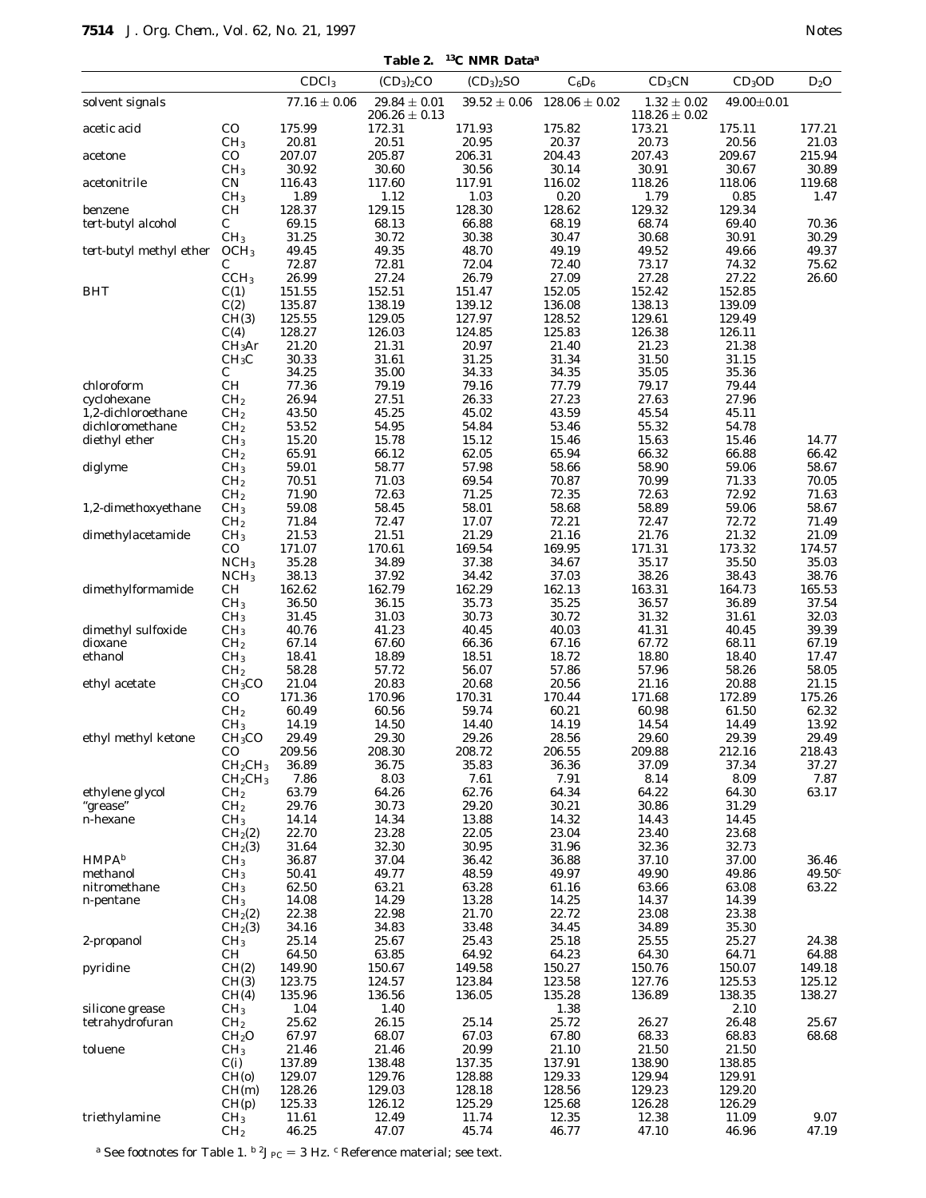|                               |                                                    | CDCl <sub>3</sub> | $(CD_3)_2CO$                        | $(CD_3)_2SO$     | $C_6D_6$          | CD <sub>3</sub> CN                 | CD <sub>3</sub> OD | $D_2O$          |
|-------------------------------|----------------------------------------------------|-------------------|-------------------------------------|------------------|-------------------|------------------------------------|--------------------|-----------------|
| solvent signals               |                                                    | $77.16 \pm 0.06$  | $29.84\pm0.01$<br>$206.26 \pm 0.13$ | $39.52\pm0.06$   | $128.06 \pm 0.02$ | $1.32\pm0.02$<br>$118.26 \pm 0.02$ | $49.00 \pm 0.01$   |                 |
| acetic acid                   | $\rm CO$                                           | 175.99            | 172.31                              | 171.93           | 175.82            | 173.21                             | 175.11             | 177.21          |
|                               | CH <sub>3</sub>                                    | 20.81             | 20.51                               | 20.95            | 20.37             | 20.73                              | 20.56              | 21.03           |
| acetone                       | $\rm CO$<br>CH <sub>3</sub>                        | 207.07<br>30.92   | 205.87<br>30.60                     | 206.31<br>30.56  | 204.43<br>30.14   | 207.43<br>30.91                    | 209.67<br>30.67    | 215.94<br>30.89 |
| acetonitrile                  | CN                                                 | 116.43            | 117.60                              | 117.91           | 116.02            | 118.26                             | 118.06             | 119.68          |
|                               | CH <sub>3</sub>                                    | 1.89              | 1.12                                | 1.03             | 0.20              | 1.79                               | 0.85               | 1.47            |
| benzene                       | CH                                                 | 128.37            | 129.15                              | 128.30           | 128.62            | 129.32                             | 129.34             |                 |
| tert-butyl alcohol            | $\mathbf C$<br>CH <sub>3</sub>                     | 69.15<br>31.25    | 68.13<br>30.72                      | 66.88<br>30.38   | 68.19<br>30.47    | 68.74<br>30.68                     | 69.40<br>30.91     | 70.36<br>30.29  |
| tert-butyl methyl ether       | OCH <sub>3</sub>                                   | 49.45             | 49.35                               | 48.70            | 49.19             | 49.52                              | 49.66              | 49.37           |
|                               | С                                                  | 72.87             | 72.81                               | 72.04            | 72.40             | 73.17                              | 74.32              | 75.62           |
|                               | CCH <sub>3</sub>                                   | 26.99             | 27.24                               | 26.79            | 27.09             | 27.28                              | 27.22              | 26.60           |
| <b>BHT</b>                    | C(1)                                               | 151.55            | 152.51                              | 151.47           | 152.05            | 152.42                             | 152.85             |                 |
|                               | C(2)<br>CH(3)                                      | 135.87<br>125.55  | 138.19<br>129.05                    | 139.12<br>127.97 | 136.08<br>128.52  | 138.13<br>129.61                   | 139.09<br>129.49   |                 |
|                               | C(4)                                               | 128.27            | 126.03                              | 124.85           | 125.83            | 126.38                             | 126.11             |                 |
|                               | CH <sub>3</sub> Ar                                 | 21.20             | 21.31                               | 20.97            | 21.40             | 21.23                              | 21.38              |                 |
|                               | CH <sub>3</sub> C                                  | 30.33             | 31.61                               | 31.25            | 31.34             | 31.50                              | 31.15              |                 |
| chloroform                    | $\mathbf C$                                        | 34.25             | 35.00                               | 34.33            | 34.35             | 35.05                              | 35.36              |                 |
| cyclohexane                   | <b>CH</b><br>CH <sub>2</sub>                       | 77.36<br>26.94    | 79.19<br>27.51                      | 79.16<br>26.33   | 77.79<br>27.23    | 79.17<br>27.63                     | 79.44<br>27.96     |                 |
| 1,2-dichloroethane            | CH <sub>2</sub>                                    | 43.50             | 45.25                               | 45.02            | 43.59             | 45.54                              | 45.11              |                 |
| dichloromethane               | CH <sub>2</sub>                                    | 53.52             | 54.95                               | 54.84            | 53.46             | 55.32                              | 54.78              |                 |
| diethyl ether                 | CH <sub>3</sub>                                    | 15.20             | 15.78                               | 15.12            | 15.46             | 15.63                              | 15.46              | 14.77           |
|                               | CH <sub>2</sub>                                    | 65.91             | 66.12                               | 62.05            | 65.94             | 66.32                              | 66.88              | 66.42           |
| diglyme                       | CH <sub>3</sub><br>CH <sub>2</sub>                 | 59.01<br>70.51    | 58.77<br>71.03                      | 57.98<br>69.54   | 58.66<br>70.87    | 58.90<br>70.99                     | 59.06<br>71.33     | 58.67<br>70.05  |
|                               | CH <sub>2</sub>                                    | 71.90             | 72.63                               | 71.25            | 72.35             | 72.63                              | 72.92              | 71.63           |
| 1,2-dimethoxyethane           | CH <sub>3</sub>                                    | 59.08             | 58.45                               | 58.01            | 58.68             | 58.89                              | 59.06              | 58.67           |
|                               | CH <sub>2</sub>                                    | 71.84             | 72.47                               | 17.07            | 72.21             | 72.47                              | 72.72              | 71.49           |
| dimethylacetamide             | CH <sub>3</sub>                                    | 21.53             | 21.51                               | 21.29            | 21.16             | 21.76                              | 21.32              | 21.09           |
|                               | $\rm CO$<br>NCH <sub>3</sub>                       | 171.07<br>35.28   | 170.61<br>34.89                     | 169.54<br>37.38  | 169.95<br>34.67   | 171.31<br>35.17                    | 173.32<br>35.50    | 174.57<br>35.03 |
|                               | NCH <sub>3</sub>                                   | 38.13             | 37.92                               | 34.42            | 37.03             | 38.26                              | 38.43              | 38.76           |
| dimethylformamide             | CH                                                 | 162.62            | 162.79                              | 162.29           | 162.13            | 163.31                             | 164.73             | 165.53          |
|                               | CH <sub>3</sub>                                    | 36.50             | 36.15                               | 35.73            | 35.25             | 36.57                              | 36.89              | 37.54           |
|                               | CH <sub>3</sub>                                    | 31.45             | 31.03<br>41.23                      | 30.73            | 30.72             | 31.32                              | 31.61              | 32.03<br>39.39  |
| dimethyl sulfoxide<br>dioxane | CH <sub>3</sub><br>CH <sub>2</sub>                 | 40.76<br>67.14    | 67.60                               | 40.45<br>66.36   | 40.03<br>67.16    | 41.31<br>67.72                     | 40.45<br>68.11     | 67.19           |
| ethanol                       | CH <sub>3</sub>                                    | 18.41             | 18.89                               | 18.51            | 18.72             | 18.80                              | 18.40              | 17.47           |
|                               | CH <sub>2</sub>                                    | 58.28             | 57.72                               | 56.07            | 57.86             | 57.96                              | 58.26              | 58.05           |
| ethyl acetate                 | CH <sub>3</sub> CO                                 | 21.04             | 20.83                               | 20.68            | 20.56             | 21.16                              | 20.88              | 21.15           |
|                               | $\rm CO$<br>CH <sub>2</sub>                        | 171.36<br>60.49   | 170.96<br>60.56                     | 170.31<br>59.74  | 170.44<br>60.21   | 171.68<br>60.98                    | 172.89<br>61.50    | 175.26<br>62.32 |
|                               | CH <sub>3</sub>                                    | 14.19             | 14.50                               | 14.40            | 14.19             | 14.54                              | 14.49              | 13.92           |
| ethyl methyl ketone           | CH <sub>3</sub> CO                                 | 29.49             | 29.30                               | 29.26            | 28.56             | 29.60                              | 29.39              | 29.49           |
|                               | $_{\rm CO}$                                        | 209.56            | 208.30                              | 208.72           | 206.55            | 209.88                             | 212.16             | 218.43          |
|                               | $CH_2CH_3$                                         | 36.89             | 36.75<br>8.03                       | 35.83            | 36.36             | 37.09<br>8.14                      | 37.34              | 37.27<br>7.87   |
| ethylene glycol               | CH <sub>2</sub> CH <sub>3</sub><br>CH <sub>2</sub> | 7.86<br>63.79     | 64.26                               | 7.61<br>62.76    | 7.91<br>64.34     | 64.22                              | 8.09<br>64.30      | 63.17           |
| "grease"                      | CH <sub>2</sub>                                    | 29.76             | 30.73                               | 29.20            | 30.21             | 30.86                              | 31.29              |                 |
| <i>n</i> -hexane              | CH <sub>3</sub>                                    | 14.14             | 14.34                               | 13.88            | 14.32             | 14.43                              | 14.45              |                 |
|                               | CH <sub>2</sub> (2)                                | 22.70             | 23.28                               | 22.05            | 23.04             | 23.40                              | 23.68              |                 |
| HMPA <sup>b</sup>             | CH <sub>2</sub> (3)<br>CH <sub>3</sub>             | 31.64<br>36.87    | 32.30<br>37.04                      | 30.95<br>36.42   | 31.96<br>36.88    | 32.36<br>37.10                     | 32.73<br>37.00     | 36.46           |
| methanol                      | CH <sub>3</sub>                                    | 50.41             | 49.77                               | 48.59            | 49.97             | 49.90                              | 49.86              | 49.50c          |
| nitromethane                  | CH <sub>3</sub>                                    | 62.50             | 63.21                               | 63.28            | 61.16             | 63.66                              | 63.08              | 63.22           |
| $n$ -pentane                  | CH <sub>3</sub>                                    | 14.08             | 14.29                               | 13.28            | 14.25             | 14.37                              | 14.39              |                 |
|                               | CH <sub>2</sub> (2)                                | 22.38             | 22.98<br>34.83                      | 21.70<br>33.48   | 22.72<br>34.45    | 23.08<br>34.89                     | 23.38<br>35.30     |                 |
| 2-propanol                    | CH <sub>2</sub> (3)<br>CH <sub>3</sub>             | 34.16<br>25.14    | 25.67                               | 25.43            | 25.18             | 25.55                              | 25.27              | 24.38           |
|                               | <b>CH</b>                                          | 64.50             | 63.85                               | 64.92            | 64.23             | 64.30                              | 64.71              | 64.88           |
| pyridine                      | CH(2)                                              | 149.90            | 150.67                              | 149.58           | 150.27            | 150.76                             | 150.07             | 149.18          |
|                               | CH(3)                                              | 123.75            | 124.57                              | 123.84           | 123.58            | 127.76                             | 125.53             | 125.12          |
| silicone grease               | CH(4)<br>CH <sub>3</sub>                           | 135.96<br>1.04    | 136.56<br>1.40                      | 136.05           | 135.28<br>1.38    | 136.89                             | 138.35<br>2.10     | 138.27          |
| tetrahydrofuran               | CH <sub>2</sub>                                    | 25.62             | 26.15                               | 25.14            | 25.72             | 26.27                              | 26.48              | 25.67           |
|                               | CH <sub>2</sub> O                                  | 67.97             | 68.07                               | 67.03            | 67.80             | 68.33                              | 68.83              | 68.68           |
| toluene                       | CH <sub>3</sub>                                    | 21.46             | 21.46                               | 20.99            | 21.10             | 21.50                              | 21.50              |                 |
|                               | C(i)                                               | 137.89            | 138.48                              | 137.35           | 137.91            | 138.90                             | 138.85             |                 |
|                               | CH(o)<br>CH(m)                                     | 129.07<br>128.26  | 129.76<br>129.03                    | 128.88<br>128.18 | 129.33<br>128.56  | 129.94<br>129.23                   | 129.91<br>129.20   |                 |
|                               | CH(p)                                              | 125.33            | 126.12                              | 125.29           | 125.68            | 126.28                             | 126.29             |                 |
| triethylamine                 | CH <sub>3</sub>                                    | 11.61             | 12.49                               | 11.74            | 12.35             | 12.38                              | 11.09              | 9.07            |
|                               | CH <sub>2</sub>                                    | 46.25             | 47.07                               | 45.74            | 46.77             | 47.10                              | 46.96              | 47.19           |

 $^a$  See footnotes for Table 1.  $^b\,^2J_{\rm{PC}}=3$  Hz.  $^c$  Reference material; see text.